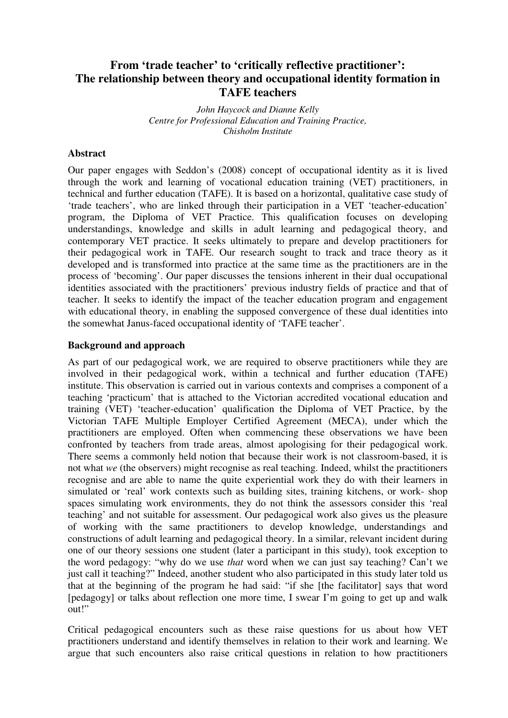# **From 'trade teacher' to 'critically reflective practitioner': The relationship between theory and occupational identity formation in TAFE teachers**

*John Haycock and Dianne Kelly Centre for Professional Education and Training Practice, Chisholm Institute* 

### **Abstract**

Our paper engages with Seddon's (2008) concept of occupational identity as it is lived through the work and learning of vocational education training (VET) practitioners, in technical and further education (TAFE). It is based on a horizontal, qualitative case study of 'trade teachers', who are linked through their participation in a VET 'teacher-education' program, the Diploma of VET Practice. This qualification focuses on developing understandings, knowledge and skills in adult learning and pedagogical theory, and contemporary VET practice. It seeks ultimately to prepare and develop practitioners for their pedagogical work in TAFE. Our research sought to track and trace theory as it developed and is transformed into practice at the same time as the practitioners are in the process of 'becoming'. Our paper discusses the tensions inherent in their dual occupational identities associated with the practitioners' previous industry fields of practice and that of teacher. It seeks to identify the impact of the teacher education program and engagement with educational theory, in enabling the supposed convergence of these dual identities into the somewhat Janus-faced occupational identity of 'TAFE teacher'.

# **Background and approach**

As part of our pedagogical work, we are required to observe practitioners while they are involved in their pedagogical work, within a technical and further education (TAFE) institute. This observation is carried out in various contexts and comprises a component of a teaching 'practicum' that is attached to the Victorian accredited vocational education and training (VET) 'teacher-education' qualification the Diploma of VET Practice, by the Victorian TAFE Multiple Employer Certified Agreement (MECA), under which the practitioners are employed. Often when commencing these observations we have been confronted by teachers from trade areas, almost apologising for their pedagogical work. There seems a commonly held notion that because their work is not classroom-based, it is not what *we* (the observers) might recognise as real teaching. Indeed, whilst the practitioners recognise and are able to name the quite experiential work they do with their learners in simulated or 'real' work contexts such as building sites, training kitchens, or work- shop spaces simulating work environments, they do not think the assessors consider this 'real teaching' and not suitable for assessment. Our pedagogical work also gives us the pleasure of working with the same practitioners to develop knowledge, understandings and constructions of adult learning and pedagogical theory. In a similar, relevant incident during one of our theory sessions one student (later a participant in this study), took exception to the word pedagogy: "why do we use *that* word when we can just say teaching? Can't we just call it teaching?" Indeed, another student who also participated in this study later told us that at the beginning of the program he had said: "if she [the facilitator] says that word [pedagogy] or talks about reflection one more time, I swear I'm going to get up and walk out!"

Critical pedagogical encounters such as these raise questions for us about how VET practitioners understand and identify themselves in relation to their work and learning. We argue that such encounters also raise critical questions in relation to how practitioners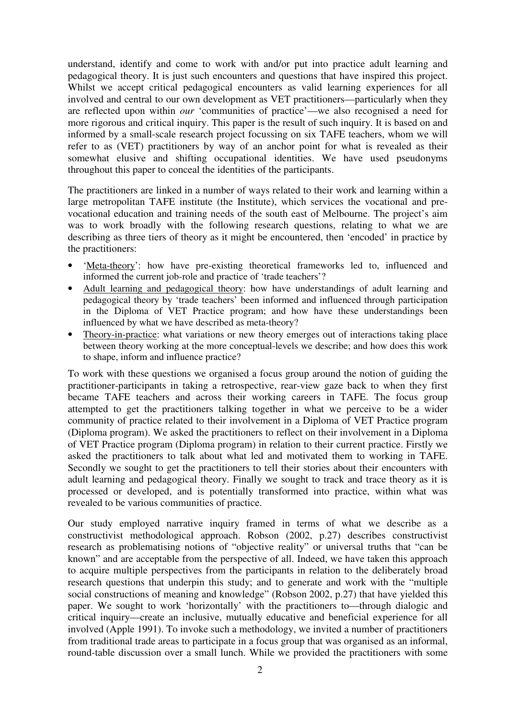understand, identify and come to work with and/or put into practice adult learning and pedagogical theory. It is just such encounters and questions that have inspired this project. Whilst we accept critical pedagogical encounters as valid learning experiences for all involved and central to our own development as VET practitioners—particularly when they are reflected upon within *our* 'communities of practice'—we also recognised a need for more rigorous and critical inquiry. This paper is the result of such inquiry. It is based on and informed by a small-scale research project focussing on six TAFE teachers, whom we will refer to as (VET) practitioners by way of an anchor point for what is revealed as their somewhat elusive and shifting occupational identities. We have used pseudonyms throughout this paper to conceal the identities of the participants.

The practitioners are linked in a number of ways related to their work and learning within a large metropolitan TAFE institute (the Institute), which services the vocational and prevocational education and training needs of the south east of Melbourne. The project's aim was to work broadly with the following research questions, relating to what we are describing as three tiers of theory as it might be encountered, then 'encoded' in practice by the practitioners:

- 'Meta-theory': how have pre-existing theoretical frameworks led to, influenced and informed the current job-role and practice of 'trade teachers'?
- Adult learning and pedagogical theory: how have understandings of adult learning and pedagogical theory by 'trade teachers' been informed and influenced through participation in the Diploma of VET Practice program; and how have these understandings been influenced by what we have described as meta-theory?
- Theory-in-practice: what variations or new theory emerges out of interactions taking place between theory working at the more conceptual-levels we describe; and how does this work to shape, inform and influence practice?

To work with these questions we organised a focus group around the notion of guiding the practitioner-participants in taking a retrospective, rear-view gaze back to when they first became TAFE teachers and across their working careers in TAFE. The focus group attempted to get the practitioners talking together in what we perceive to be a wider community of practice related to their involvement in a Diploma of VET Practice program (Diploma program). We asked the practitioners to reflect on their involvement in a Diploma of VET Practice program (Diploma program) in relation to their current practice. Firstly we asked the practitioners to talk about what led and motivated them to working in TAFE. Secondly we sought to get the practitioners to tell their stories about their encounters with adult learning and pedagogical theory. Finally we sought to track and trace theory as it is processed or developed, and is potentially transformed into practice, within what was revealed to be various communities of practice.

Our study employed narrative inquiry framed in terms of what we describe as a constructivist methodological approach. Robson (2002, p.27) describes constructivist research as problematising notions of "objective reality" or universal truths that "can be known" and are acceptable from the perspective of all. Indeed, we have taken this approach to acquire multiple perspectives from the participants in relation to the deliberately broad research questions that underpin this study; and to generate and work with the "multiple social constructions of meaning and knowledge" (Robson 2002, p.27) that have yielded this paper. We sought to work 'horizontally' with the practitioners to—through dialogic and critical inquiry—create an inclusive, mutually educative and beneficial experience for all involved (Apple 1991). To invoke such a methodology, we invited a number of practitioners from traditional trade areas to participate in a focus group that was organised as an informal, round-table discussion over a small lunch. While we provided the practitioners with some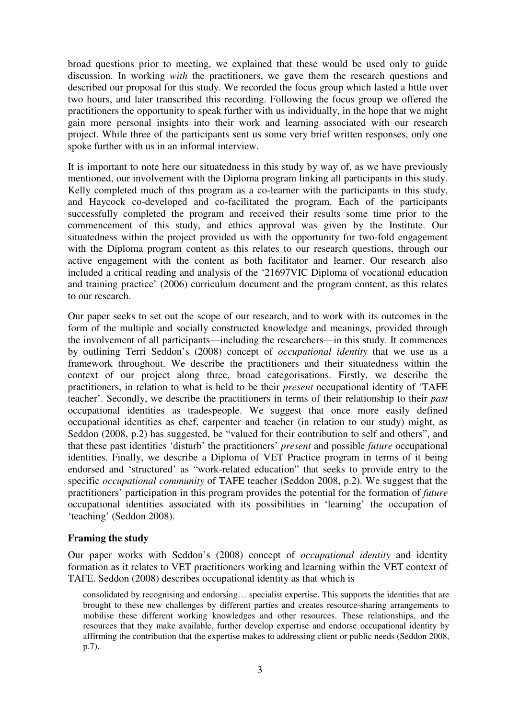broad questions prior to meeting, we explained that these would be used only to guide discussion. In working *with* the practitioners, we gave them the research questions and described our proposal for this study. We recorded the focus group which lasted a little over two hours, and later transcribed this recording. Following the focus group we offered the practitioners the opportunity to speak further with us individually, in the hope that we might gain more personal insights into their work and learning associated with our research project. While three of the participants sent us some very brief written responses, only one spoke further with us in an informal interview.

It is important to note here our situatedness in this study by way of, as we have previously mentioned, our involvement with the Diploma program linking all participants in this study. Kelly completed much of this program as a co-learner with the participants in this study, and Haycock co-developed and co-facilitated the program. Each of the participants successfully completed the program and received their results some time prior to the commencement of this study, and ethics approval was given by the Institute. Our situatedness within the project provided us with the opportunity for two-fold engagement with the Diploma program content as this relates to our research questions, through our active engagement with the content as both facilitator and learner. Our research also included a critical reading and analysis of the '21697VIC Diploma of vocational education and training practice' (2006) curriculum document and the program content, as this relates to our research.

Our paper seeks to set out the scope of our research, and to work with its outcomes in the form of the multiple and socially constructed knowledge and meanings, provided through the involvement of all participants—including the researchers—in this study. It commences by outlining Terri Seddon's (2008) concept of *occupational identity* that we use as a framework throughout. We describe the practitioners and their situatedness within the context of our project along three, broad categorisations. Firstly, we describe the practitioners, in relation to what is held to be their *present* occupational identity of 'TAFE teacher'. Secondly, we describe the practitioners in terms of their relationship to their *past* occupational identities as tradespeople. We suggest that once more easily defined occupational identities as chef, carpenter and teacher (in relation to our study) might, as Seddon (2008, p.2) has suggested, be "valued for their contribution to self and others", and that these past identities 'disturb' the practitioners' *present* and possible *future* occupational identities. Finally, we describe a Diploma of VET Practice program in terms of it being endorsed and 'structured' as "work-related education" that seeks to provide entry to the specific *occupational community* of TAFE teacher (Seddon 2008, p.2). We suggest that the practitioners' participation in this program provides the potential for the formation of *future* occupational identities associated with its possibilities in 'learning' the occupation of 'teaching' (Seddon 2008).

### **Framing the study**

Our paper works with Seddon's (2008) concept of *occupational identity* and identity formation as it relates to VET practitioners working and learning within the VET context of TAFE. Seddon (2008) describes occupational identity as that which is

consolidated by recognising and endorsing… specialist expertise. This supports the identities that are brought to these new challenges by different parties and creates resource-sharing arrangements to mobilise these different working knowledges and other resources. These relationships, and the resources that they make available, further develop expertise and endorse occupational identity by affirming the contribution that the expertise makes to addressing client or public needs (Seddon 2008, p.7).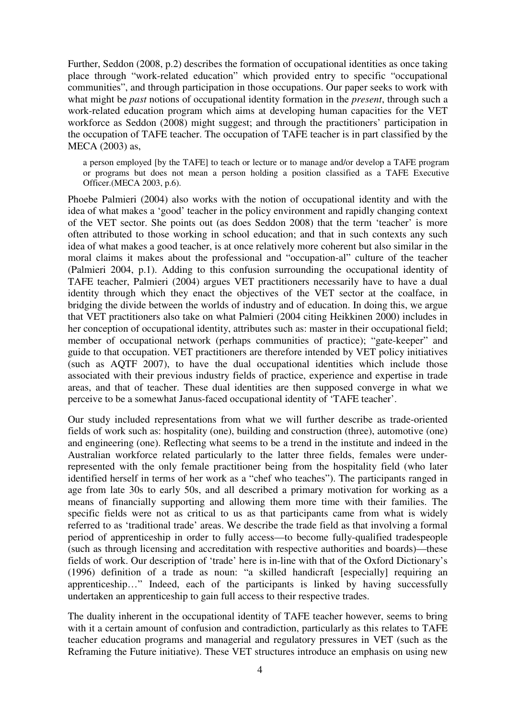Further, Seddon (2008, p.2) describes the formation of occupational identities as once taking place through "work-related education" which provided entry to specific "occupational communities", and through participation in those occupations. Our paper seeks to work with what might be *past* notions of occupational identity formation in the *present*, through such a work-related education program which aims at developing human capacities for the VET workforce as Seddon (2008) might suggest; and through the practitioners' participation in the occupation of TAFE teacher. The occupation of TAFE teacher is in part classified by the MECA (2003) as,

a person employed [by the TAFE] to teach or lecture or to manage and/or develop a TAFE program or programs but does not mean a person holding a position classified as a TAFE Executive Officer.(MECA 2003, p.6).

Phoebe Palmieri (2004) also works with the notion of occupational identity and with the idea of what makes a 'good' teacher in the policy environment and rapidly changing context of the VET sector. She points out (as does Seddon 2008) that the term 'teacher' is more often attributed to those working in school education; and that in such contexts any such idea of what makes a good teacher, is at once relatively more coherent but also similar in the moral claims it makes about the professional and "occupation-al" culture of the teacher (Palmieri 2004, p.1). Adding to this confusion surrounding the occupational identity of TAFE teacher, Palmieri (2004) argues VET practitioners necessarily have to have a dual identity through which they enact the objectives of the VET sector at the coalface, in bridging the divide between the worlds of industry and of education. In doing this, we argue that VET practitioners also take on what Palmieri (2004 citing Heikkinen 2000) includes in her conception of occupational identity, attributes such as: master in their occupational field; member of occupational network (perhaps communities of practice); "gate-keeper" and guide to that occupation. VET practitioners are therefore intended by VET policy initiatives (such as AQTF 2007), to have the dual occupational identities which include those associated with their previous industry fields of practice, experience and expertise in trade areas, and that of teacher. These dual identities are then supposed converge in what we perceive to be a somewhat Janus-faced occupational identity of 'TAFE teacher'.

Our study included representations from what we will further describe as trade-oriented fields of work such as: hospitality (one), building and construction (three), automotive (one) and engineering (one). Reflecting what seems to be a trend in the institute and indeed in the Australian workforce related particularly to the latter three fields, females were underrepresented with the only female practitioner being from the hospitality field (who later identified herself in terms of her work as a "chef who teaches"). The participants ranged in age from late 30s to early 50s, and all described a primary motivation for working as a means of financially supporting and allowing them more time with their families. The specific fields were not as critical to us as that participants came from what is widely referred to as 'traditional trade' areas. We describe the trade field as that involving a formal period of apprenticeship in order to fully access—to become fully-qualified tradespeople (such as through licensing and accreditation with respective authorities and boards)—these fields of work. Our description of 'trade' here is in-line with that of the Oxford Dictionary's (1996) definition of a trade as noun: "a skilled handicraft [especially] requiring an apprenticeship…" Indeed, each of the participants is linked by having successfully undertaken an apprenticeship to gain full access to their respective trades.

The duality inherent in the occupational identity of TAFE teacher however, seems to bring with it a certain amount of confusion and contradiction, particularly as this relates to TAFE teacher education programs and managerial and regulatory pressures in VET (such as the Reframing the Future initiative). These VET structures introduce an emphasis on using new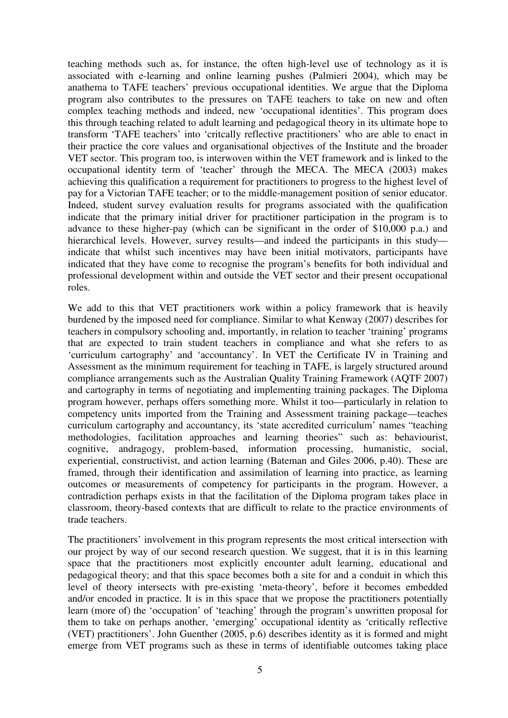teaching methods such as, for instance, the often high-level use of technology as it is associated with e-learning and online learning pushes (Palmieri 2004), which may be anathema to TAFE teachers' previous occupational identities. We argue that the Diploma program also contributes to the pressures on TAFE teachers to take on new and often complex teaching methods and indeed, new 'occupational identities'. This program does this through teaching related to adult learning and pedagogical theory in its ultimate hope to transform 'TAFE teachers' into 'critcally reflective practitioners' who are able to enact in their practice the core values and organisational objectives of the Institute and the broader VET sector. This program too, is interwoven within the VET framework and is linked to the occupational identity term of 'teacher' through the MECA. The MECA (2003) makes achieving this qualification a requirement for practitioners to progress to the highest level of pay for a Victorian TAFE teacher; or to the middle-management position of senior educator. Indeed, student survey evaluation results for programs associated with the qualification indicate that the primary initial driver for practitioner participation in the program is to advance to these higher-pay (which can be significant in the order of \$10,000 p.a.) and hierarchical levels. However, survey results—and indeed the participants in this study indicate that whilst such incentives may have been initial motivators, participants have indicated that they have come to recognise the program's benefits for both individual and professional development within and outside the VET sector and their present occupational roles.

We add to this that VET practitioners work within a policy framework that is heavily burdened by the imposed need for compliance. Similar to what Kenway (2007) describes for teachers in compulsory schooling and, importantly, in relation to teacher 'training' programs that are expected to train student teachers in compliance and what she refers to as 'curriculum cartography' and 'accountancy'. In VET the Certificate IV in Training and Assessment as the minimum requirement for teaching in TAFE, is largely structured around compliance arrangements such as the Australian Quality Training Framework (AQTF 2007) and cartography in terms of negotiating and implementing training packages. The Diploma program however, perhaps offers something more. Whilst it too—particularly in relation to competency units imported from the Training and Assessment training package—teaches curriculum cartography and accountancy, its 'state accredited curriculum' names "teaching methodologies, facilitation approaches and learning theories" such as: behaviourist, cognitive, andragogy, problem-based, information processing, humanistic, social, experiential, constructivist, and action learning (Bateman and Giles 2006, p.40). These are framed, through their identification and assimilation of learning into practice, as learning outcomes or measurements of competency for participants in the program. However, a contradiction perhaps exists in that the facilitation of the Diploma program takes place in classroom, theory-based contexts that are difficult to relate to the practice environments of trade teachers.

The practitioners' involvement in this program represents the most critical intersection with our project by way of our second research question. We suggest, that it is in this learning space that the practitioners most explicitly encounter adult learning, educational and pedagogical theory; and that this space becomes both a site for and a conduit in which this level of theory intersects with pre-existing 'meta-theory', before it becomes embedded and/or encoded in practice. It is in this space that we propose the practitioners potentially learn (more of) the 'occupation' of 'teaching' through the program's unwritten proposal for them to take on perhaps another, 'emerging' occupational identity as 'critically reflective (VET) practitioners'. John Guenther (2005, p.6) describes identity as it is formed and might emerge from VET programs such as these in terms of identifiable outcomes taking place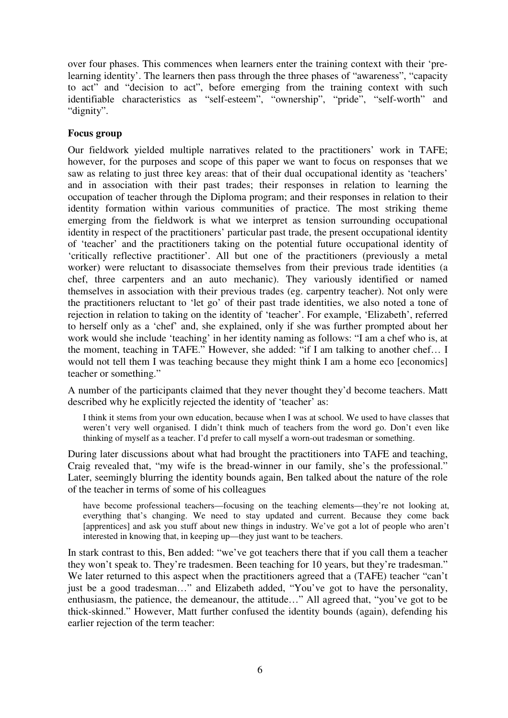over four phases. This commences when learners enter the training context with their 'prelearning identity'. The learners then pass through the three phases of "awareness", "capacity to act" and "decision to act", before emerging from the training context with such identifiable characteristics as "self-esteem", "ownership", "pride", "self-worth" and "dignity".

# **Focus group**

Our fieldwork yielded multiple narratives related to the practitioners' work in TAFE; however, for the purposes and scope of this paper we want to focus on responses that we saw as relating to just three key areas: that of their dual occupational identity as 'teachers' and in association with their past trades; their responses in relation to learning the occupation of teacher through the Diploma program; and their responses in relation to their identity formation within various communities of practice. The most striking theme emerging from the fieldwork is what we interpret as tension surrounding occupational identity in respect of the practitioners' particular past trade, the present occupational identity of 'teacher' and the practitioners taking on the potential future occupational identity of 'critically reflective practitioner'. All but one of the practitioners (previously a metal worker) were reluctant to disassociate themselves from their previous trade identities (a chef, three carpenters and an auto mechanic). They variously identified or named themselves in association with their previous trades (eg. carpentry teacher). Not only were the practitioners reluctant to 'let go' of their past trade identities, we also noted a tone of rejection in relation to taking on the identity of 'teacher'. For example, 'Elizabeth', referred to herself only as a 'chef' and, she explained, only if she was further prompted about her work would she include 'teaching' in her identity naming as follows: "I am a chef who is, at the moment, teaching in TAFE." However, she added: "if I am talking to another chef… I would not tell them I was teaching because they might think I am a home eco [economics] teacher or something."

A number of the participants claimed that they never thought they'd become teachers. Matt described why he explicitly rejected the identity of 'teacher' as:

I think it stems from your own education, because when I was at school. We used to have classes that weren't very well organised. I didn't think much of teachers from the word go. Don't even like thinking of myself as a teacher. I'd prefer to call myself a worn-out tradesman or something.

During later discussions about what had brought the practitioners into TAFE and teaching, Craig revealed that, "my wife is the bread-winner in our family, she's the professional." Later, seemingly blurring the identity bounds again, Ben talked about the nature of the role of the teacher in terms of some of his colleagues

have become professional teachers—focusing on the teaching elements—they're not looking at, everything that's changing. We need to stay updated and current. Because they come back [apprentices] and ask you stuff about new things in industry. We've got a lot of people who aren't interested in knowing that, in keeping up—they just want to be teachers.

In stark contrast to this, Ben added: "we've got teachers there that if you call them a teacher they won't speak to. They're tradesmen. Been teaching for 10 years, but they're tradesman." We later returned to this aspect when the practitioners agreed that a (TAFE) teacher "can't just be a good tradesman…" and Elizabeth added, "You've got to have the personality, enthusiasm, the patience, the demeanour, the attitude…" All agreed that, "you've got to be thick-skinned." However, Matt further confused the identity bounds (again), defending his earlier rejection of the term teacher: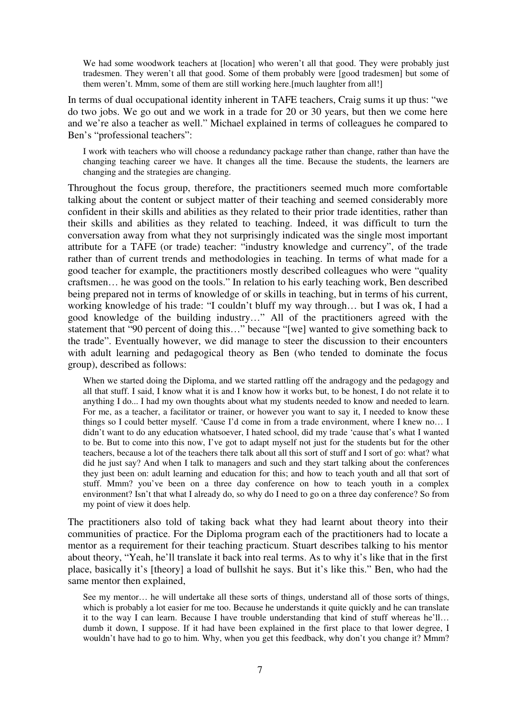We had some woodwork teachers at [location] who weren't all that good. They were probably just tradesmen. They weren't all that good. Some of them probably were [good tradesmen] but some of them weren't. Mmm, some of them are still working here.[much laughter from all!]

In terms of dual occupational identity inherent in TAFE teachers, Craig sums it up thus: "we do two jobs. We go out and we work in a trade for 20 or 30 years, but then we come here and we're also a teacher as well." Michael explained in terms of colleagues he compared to Ben's "professional teachers":

I work with teachers who will choose a redundancy package rather than change, rather than have the changing teaching career we have. It changes all the time. Because the students, the learners are changing and the strategies are changing.

Throughout the focus group, therefore, the practitioners seemed much more comfortable talking about the content or subject matter of their teaching and seemed considerably more confident in their skills and abilities as they related to their prior trade identities, rather than their skills and abilities as they related to teaching. Indeed, it was difficult to turn the conversation away from what they not surprisingly indicated was the single most important attribute for a TAFE (or trade) teacher: "industry knowledge and currency", of the trade rather than of current trends and methodologies in teaching. In terms of what made for a good teacher for example, the practitioners mostly described colleagues who were "quality craftsmen… he was good on the tools." In relation to his early teaching work, Ben described being prepared not in terms of knowledge of or skills in teaching, but in terms of his current, working knowledge of his trade: "I couldn't bluff my way through… but I was ok, I had a good knowledge of the building industry…" All of the practitioners agreed with the statement that "90 percent of doing this…" because "[we] wanted to give something back to the trade". Eventually however, we did manage to steer the discussion to their encounters with adult learning and pedagogical theory as Ben (who tended to dominate the focus group), described as follows:

When we started doing the Diploma, and we started rattling off the andragogy and the pedagogy and all that stuff. I said, I know what it is and I know how it works but, to be honest, I do not relate it to anything I do... I had my own thoughts about what my students needed to know and needed to learn. For me, as a teacher, a facilitator or trainer, or however you want to say it, I needed to know these things so I could better myself. 'Cause I'd come in from a trade environment, where I knew no… I didn't want to do any education whatsoever, I hated school, did my trade 'cause that's what I wanted to be. But to come into this now, I've got to adapt myself not just for the students but for the other teachers, because a lot of the teachers there talk about all this sort of stuff and I sort of go: what? what did he just say? And when I talk to managers and such and they start talking about the conferences they just been on: adult learning and education for this; and how to teach youth and all that sort of stuff. Mmm? you've been on a three day conference on how to teach youth in a complex environment? Isn't that what I already do, so why do I need to go on a three day conference? So from my point of view it does help.

The practitioners also told of taking back what they had learnt about theory into their communities of practice. For the Diploma program each of the practitioners had to locate a mentor as a requirement for their teaching practicum. Stuart describes talking to his mentor about theory, "Yeah, he'll translate it back into real terms. As to why it's like that in the first place, basically it's [theory] a load of bullshit he says. But it's like this." Ben, who had the same mentor then explained,

See my mentor… he will undertake all these sorts of things, understand all of those sorts of things, which is probably a lot easier for me too. Because he understands it quite quickly and he can translate it to the way I can learn. Because I have trouble understanding that kind of stuff whereas he'll… dumb it down, I suppose. If it had have been explained in the first place to that lower degree, I wouldn't have had to go to him. Why, when you get this feedback, why don't you change it? Mmm?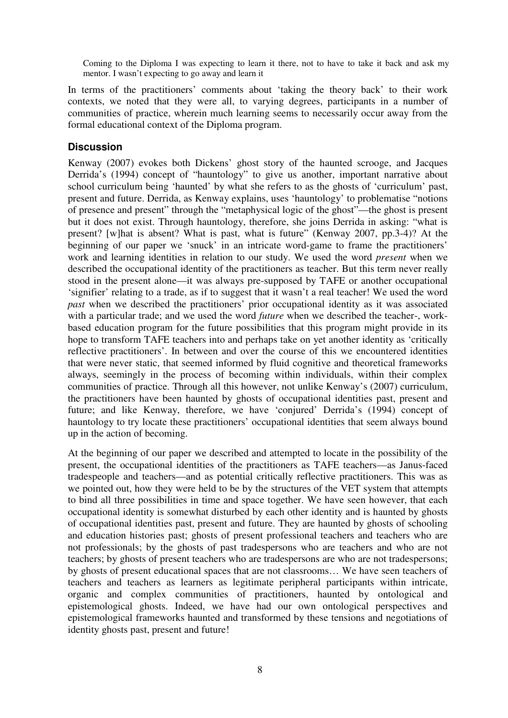Coming to the Diploma I was expecting to learn it there, not to have to take it back and ask my mentor. I wasn't expecting to go away and learn it

In terms of the practitioners' comments about 'taking the theory back' to their work contexts, we noted that they were all, to varying degrees, participants in a number of communities of practice, wherein much learning seems to necessarily occur away from the formal educational context of the Diploma program.

### **Discussion**

Kenway (2007) evokes both Dickens' ghost story of the haunted scrooge, and Jacques Derrida's (1994) concept of "hauntology" to give us another, important narrative about school curriculum being 'haunted' by what she refers to as the ghosts of 'curriculum' past, present and future. Derrida, as Kenway explains, uses 'hauntology' to problematise "notions of presence and present" through the "metaphysical logic of the ghost"—the ghost is present but it does not exist. Through hauntology, therefore, she joins Derrida in asking: "what is present? [w]hat is absent? What is past, what is future" (Kenway 2007, pp.3-4)? At the beginning of our paper we 'snuck' in an intricate word-game to frame the practitioners' work and learning identities in relation to our study. We used the word *present* when we described the occupational identity of the practitioners as teacher. But this term never really stood in the present alone—it was always pre-supposed by TAFE or another occupational 'signifier' relating to a trade, as if to suggest that it wasn't a real teacher! We used the word *past* when we described the practitioners' prior occupational identity as it was associated with a particular trade; and we used the word *future* when we described the teacher-, workbased education program for the future possibilities that this program might provide in its hope to transform TAFE teachers into and perhaps take on yet another identity as 'critically reflective practitioners'. In between and over the course of this we encountered identities that were never static, that seemed informed by fluid cognitive and theoretical frameworks always, seemingly in the process of becoming within individuals, within their complex communities of practice. Through all this however, not unlike Kenway's (2007) curriculum, the practitioners have been haunted by ghosts of occupational identities past, present and future; and like Kenway, therefore, we have 'conjured' Derrida's (1994) concept of hauntology to try locate these practitioners' occupational identities that seem always bound up in the action of becoming.

At the beginning of our paper we described and attempted to locate in the possibility of the present, the occupational identities of the practitioners as TAFE teachers—as Janus-faced tradespeople and teachers—and as potential critically reflective practitioners. This was as we pointed out, how they were held to be by the structures of the VET system that attempts to bind all three possibilities in time and space together. We have seen however, that each occupational identity is somewhat disturbed by each other identity and is haunted by ghosts of occupational identities past, present and future. They are haunted by ghosts of schooling and education histories past; ghosts of present professional teachers and teachers who are not professionals; by the ghosts of past tradespersons who are teachers and who are not teachers; by ghosts of present teachers who are tradespersons are who are not tradespersons; by ghosts of present educational spaces that are not classrooms… We have seen teachers of teachers and teachers as learners as legitimate peripheral participants within intricate, organic and complex communities of practitioners, haunted by ontological and epistemological ghosts. Indeed, we have had our own ontological perspectives and epistemological frameworks haunted and transformed by these tensions and negotiations of identity ghosts past, present and future!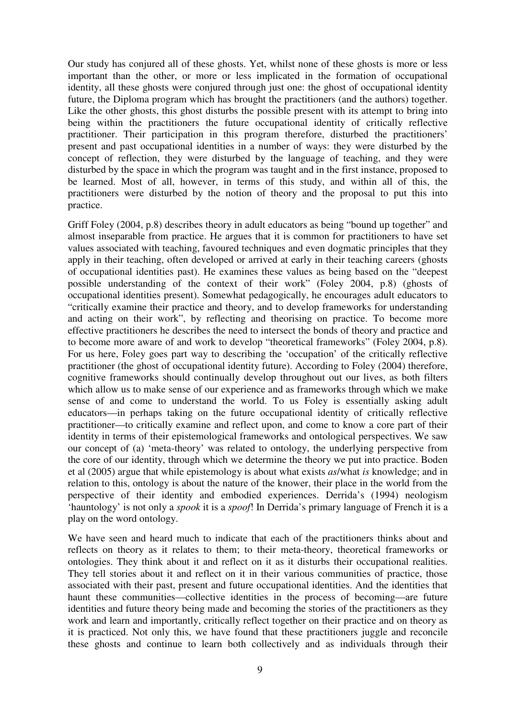Our study has conjured all of these ghosts. Yet, whilst none of these ghosts is more or less important than the other, or more or less implicated in the formation of occupational identity, all these ghosts were conjured through just one: the ghost of occupational identity future, the Diploma program which has brought the practitioners (and the authors) together. Like the other ghosts, this ghost disturbs the possible present with its attempt to bring into being within the practitioners the future occupational identity of critically reflective practitioner. Their participation in this program therefore, disturbed the practitioners' present and past occupational identities in a number of ways: they were disturbed by the concept of reflection, they were disturbed by the language of teaching, and they were disturbed by the space in which the program was taught and in the first instance, proposed to be learned. Most of all, however, in terms of this study, and within all of this, the practitioners were disturbed by the notion of theory and the proposal to put this into practice.

Griff Foley (2004, p.8) describes theory in adult educators as being "bound up together" and almost inseparable from practice. He argues that it is common for practitioners to have set values associated with teaching, favoured techniques and even dogmatic principles that they apply in their teaching, often developed or arrived at early in their teaching careers (ghosts of occupational identities past). He examines these values as being based on the "deepest possible understanding of the context of their work" (Foley 2004, p.8) (ghosts of occupational identities present). Somewhat pedagogically, he encourages adult educators to "critically examine their practice and theory, and to develop frameworks for understanding and acting on their work", by reflecting and theorising on practice. To become more effective practitioners he describes the need to intersect the bonds of theory and practice and to become more aware of and work to develop "theoretical frameworks" (Foley 2004, p.8). For us here, Foley goes part way to describing the 'occupation' of the critically reflective practitioner (the ghost of occupational identity future). According to Foley (2004) therefore, cognitive frameworks should continually develop throughout out our lives, as both filters which allow us to make sense of our experience and as frameworks through which we make sense of and come to understand the world. To us Foley is essentially asking adult educators—in perhaps taking on the future occupational identity of critically reflective practitioner—to critically examine and reflect upon, and come to know a core part of their identity in terms of their epistemological frameworks and ontological perspectives. We saw our concept of (a) 'meta-theory' was related to ontology, the underlying perspective from the core of our identity, through which we determine the theory we put into practice. Boden et al (2005) argue that while epistemology is about what exists *as*/what *is* knowledge; and in relation to this, ontology is about the nature of the knower, their place in the world from the perspective of their identity and embodied experiences. Derrida's (1994) neologism 'hauntology' is not only a *spook* it is a *spoof*! In Derrida's primary language of French it is a play on the word ontology.

We have seen and heard much to indicate that each of the practitioners thinks about and reflects on theory as it relates to them; to their meta-theory, theoretical frameworks or ontologies. They think about it and reflect on it as it disturbs their occupational realities. They tell stories about it and reflect on it in their various communities of practice, those associated with their past, present and future occupational identities. And the identities that haunt these communities—collective identities in the process of becoming—are future identities and future theory being made and becoming the stories of the practitioners as they work and learn and importantly, critically reflect together on their practice and on theory as it is practiced. Not only this, we have found that these practitioners juggle and reconcile these ghosts and continue to learn both collectively and as individuals through their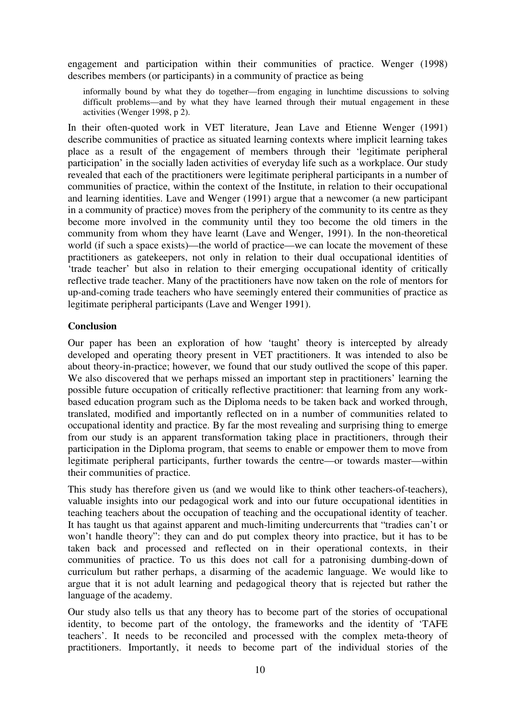engagement and participation within their communities of practice. Wenger (1998) describes members (or participants) in a community of practice as being

informally bound by what they do together—from engaging in lunchtime discussions to solving difficult problems—and by what they have learned through their mutual engagement in these activities (Wenger 1998, p 2).

In their often-quoted work in VET literature, Jean Lave and Etienne Wenger (1991) describe communities of practice as situated learning contexts where implicit learning takes place as a result of the engagement of members through their 'legitimate peripheral participation' in the socially laden activities of everyday life such as a workplace. Our study revealed that each of the practitioners were legitimate peripheral participants in a number of communities of practice, within the context of the Institute, in relation to their occupational and learning identities. Lave and Wenger (1991) argue that a newcomer (a new participant in a community of practice) moves from the periphery of the community to its centre as they become more involved in the community until they too become the old timers in the community from whom they have learnt (Lave and Wenger, 1991). In the non-theoretical world (if such a space exists)—the world of practice—we can locate the movement of these practitioners as gatekeepers, not only in relation to their dual occupational identities of 'trade teacher' but also in relation to their emerging occupational identity of critically reflective trade teacher. Many of the practitioners have now taken on the role of mentors for up-and-coming trade teachers who have seemingly entered their communities of practice as legitimate peripheral participants (Lave and Wenger 1991).

# **Conclusion**

Our paper has been an exploration of how 'taught' theory is intercepted by already developed and operating theory present in VET practitioners. It was intended to also be about theory-in-practice; however, we found that our study outlived the scope of this paper. We also discovered that we perhaps missed an important step in practitioners' learning the possible future occupation of critically reflective practitioner: that learning from any workbased education program such as the Diploma needs to be taken back and worked through, translated, modified and importantly reflected on in a number of communities related to occupational identity and practice. By far the most revealing and surprising thing to emerge from our study is an apparent transformation taking place in practitioners, through their participation in the Diploma program, that seems to enable or empower them to move from legitimate peripheral participants, further towards the centre—or towards master—within their communities of practice.

This study has therefore given us (and we would like to think other teachers-of-teachers), valuable insights into our pedagogical work and into our future occupational identities in teaching teachers about the occupation of teaching and the occupational identity of teacher. It has taught us that against apparent and much-limiting undercurrents that "tradies can't or won't handle theory": they can and do put complex theory into practice, but it has to be taken back and processed and reflected on in their operational contexts, in their communities of practice. To us this does not call for a patronising dumbing-down of curriculum but rather perhaps, a disarming of the academic language. We would like to argue that it is not adult learning and pedagogical theory that is rejected but rather the language of the academy.

Our study also tells us that any theory has to become part of the stories of occupational identity, to become part of the ontology, the frameworks and the identity of 'TAFE teachers'. It needs to be reconciled and processed with the complex meta-theory of practitioners. Importantly, it needs to become part of the individual stories of the